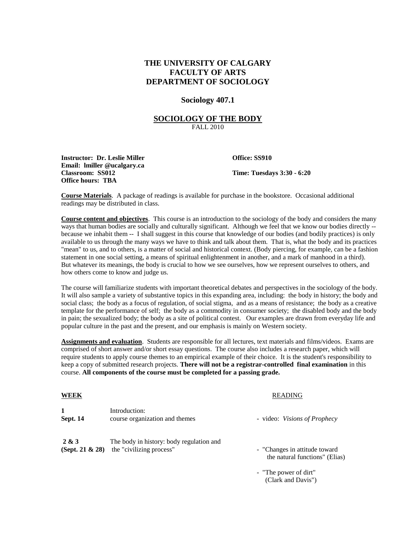# **THE UNIVERSITY OF CALGARY FACULTY OF ARTS DEPARTMENT OF SOCIOLOGY**

#### **Sociology 407.1**

#### **SOCIOLOGY OF THE BODY** FALL 2010

**Instructor: Dr. Leslie Miller <b>Office: SS910 Email: lmiller @ucalgary.ca Classroom: SS012 Time: Tuesdays 3:30 - 6:20 Office hours: TBA**

**Course Materials**. A package of readings is available for purchase in the bookstore. Occasional additional readings may be distributed in class.

**Course content and objectives**. This course is an introduction to the sociology of the body and considers the many ways that human bodies are socially and culturally significant. Although we feel that we know our bodies directly - because we inhabit them -- I shall suggest in this course that knowledge of our bodies (and bodily practices) is only available to us through the many ways we have to think and talk about them. That is, what the body and its practices "mean" to us, and to others, is a matter of social and historical context. (Body piercing, for example, can be a fashion statement in one social setting, a means of spiritual enlightenment in another, and a mark of manhood in a third). But whatever its meanings, the body is crucial to how we see ourselves, how we represent ourselves to others, and how others come to know and judge us.

The course will familiarize students with important theoretical debates and perspectives in the sociology of the body. It will also sample a variety of substantive topics in this expanding area, including: the body in history; the body and social class; the body as a focus of regulation, of social stigma, and as a means of resistance; the body as a creative template for the performance of self; the body as a commodity in consumer society; the disabled body and the body in pain; the sexualized body; the body as a site of political contest. Our examples are drawn from everyday life and popular culture in the past and the present, and our emphasis is mainly on Western society.

**Assignments and evaluation**. Students are responsible for all lectures, text materials and films/videos. Exams are comprised of short answer and/or short essay questions. The course also includes a research paper, which will require students to apply course themes to an empirical example of their choice. It is the student's responsibility to keep a copy of submitted research projects. **There will not be a registrar-controlled final examination** in this course. **All components of the course must be completed for a passing grade.**

|--|

# **READING**

| <b>Sept. 14</b> | Introduction:<br>course organization and themes | - video: <i>Visions of Prophecy</i> |
|-----------------|-------------------------------------------------|-------------------------------------|
| 2 & 3           | The body in history: body regulation and        | - "Changes in attitude toward"      |
| (Sept. 21 & 28) | the "civilizing process"                        | the natural functions" (Elias)      |

- "The power of dirt" (Clark and Davis")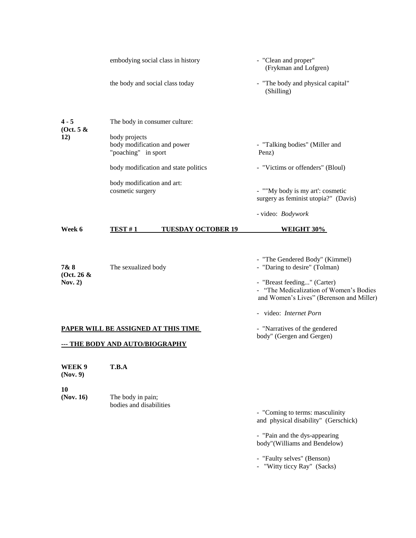|                                                                        | embodying social class in history                                   |                           | - "Clean and proper"<br>(Frykman and Lofgren)                                                                                                                                         |
|------------------------------------------------------------------------|---------------------------------------------------------------------|---------------------------|---------------------------------------------------------------------------------------------------------------------------------------------------------------------------------------|
|                                                                        | the body and social class today                                     |                           | - "The body and physical capital"<br>(Shilling)                                                                                                                                       |
| $4 - 5$<br>(Oct. 5 &<br><b>12</b> )                                    | The body in consumer culture:                                       |                           |                                                                                                                                                                                       |
|                                                                        | body projects<br>body modification and power<br>"poaching" in sport |                           | - "Talking bodies" (Miller and<br>Penz)                                                                                                                                               |
|                                                                        | body modification and state politics                                |                           | - "Victims or offenders" (Bloul)                                                                                                                                                      |
|                                                                        | body modification and art:<br>cosmetic surgery                      |                           | - ""My body is my art": cosmetic<br>surgery as feminist utopia?" (Davis)                                                                                                              |
|                                                                        |                                                                     |                           | - video: Bodywork                                                                                                                                                                     |
| Week 6                                                                 | TEST#1                                                              | <b>TUESDAY OCTOBER 19</b> | <b>WEIGHT 30%</b>                                                                                                                                                                     |
| 7&8<br>(Oct. 26 &<br>Nov. $2)$                                         | The sexualized body                                                 |                           | - "The Gendered Body" (Kimmel)<br>- "Daring to desire" (Tolman)<br>- "Breast feeding" (Carter)<br>- "The Medicalization of Women's Bodies<br>and Women's Lives" (Berenson and Miller) |
|                                                                        |                                                                     |                           | - video: Internet Porn                                                                                                                                                                |
| PAPER WILL BE ASSIGNED AT THIS TIME<br>--- THE BODY AND AUTO/BIOGRAPHY |                                                                     |                           | - "Narratives of the gendered<br>body" (Gergen and Gergen)                                                                                                                            |
| WEEK 9<br>(Nov. 9)                                                     | T.B.A                                                               |                           |                                                                                                                                                                                       |
| 10<br>(Nov. 16)                                                        | The body in pain;<br>bodies and disabilities                        |                           | - "Coming to terms: masculinity                                                                                                                                                       |
|                                                                        |                                                                     |                           | and physical disability" (Gerschick)                                                                                                                                                  |
|                                                                        |                                                                     |                           | - "Pain and the dys-appearing<br>body"(Williams and Bendelow)                                                                                                                         |
|                                                                        |                                                                     |                           | - "Faulty selves" (Benson)                                                                                                                                                            |

- "Witty ticcy Ray" (Sacks)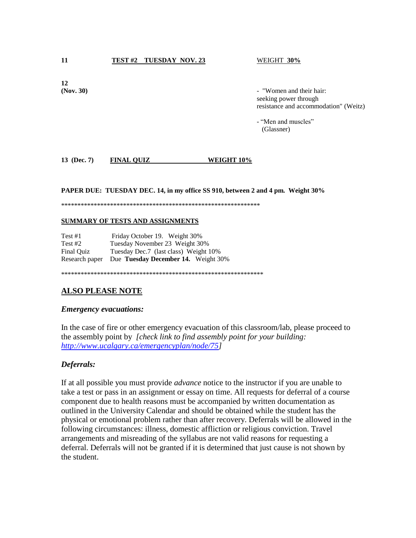**11 TEST #2 TUESDAY NOV. 23** WEIGHT **30%**

**12**

**(Nov. 30)** - "Women and their hair: seeking power through resistance and accommodation" (Weitz)

> - "Men and muscles" (Glassner)

## **13 (Dec. 7) FINAL QUIZ WEIGHT 10%**

**PAPER DUE: TUESDAY DEC. 14, in my office SS 910, between 2 and 4 pm. Weight 30%**

\*\*\*\*\*\*\*\*\*\*\*\*\*\*\*\*\*\*\*\*\*\*\*\*\*\*\*\*\*\*\*\*\*\*\*\*\*\*\*\*\*\*\*\*\*\*\*\*\*\*\*\*\*\*\*\*\*\*\*\*\*

#### **SUMMARY OF TESTS AND ASSIGNMENTS**

| Test #1    | Friday October 19. Weight 30%                      |
|------------|----------------------------------------------------|
| Test $#2$  | Tuesday November 23 Weight 30%                     |
| Final Ouiz | Tuesday Dec.7 (last class) Weight 10%              |
|            | Research paper Due Tuesday December 14. Weight 30% |

\*\*\*\*\*\*\*\*\*\*\*\*\*\*\*\*\*\*\*\*\*\*\*\*\*\*\*\*\*\*\*\*\*\*\*\*\*\*\*\*\*\*\*\*\*\*\*\*\*\*\*\*\*\*\*\*\*\*\*\*\*\*

## **ALSO PLEASE NOTE**

#### *Emergency evacuations:*

In the case of fire or other emergency evacuation of this classroom/lab, please proceed to the assembly point by *[check link to find assembly point for your building: [http://www.ucalgary.ca/emergencyplan/node/75\]](http://www.ucalgary.ca/emergencyplan/node/75)*

## *Deferrals:*

If at all possible you must provide *advance* notice to the instructor if you are unable to take a test or pass in an assignment or essay on time. All requests for deferral of a course component due to health reasons must be accompanied by written documentation as outlined in the University Calendar and should be obtained while the student has the physical or emotional problem rather than after recovery. Deferrals will be allowed in the following circumstances: illness, domestic affliction or religious conviction. Travel arrangements and misreading of the syllabus are not valid reasons for requesting a deferral. Deferrals will not be granted if it is determined that just cause is not shown by the student.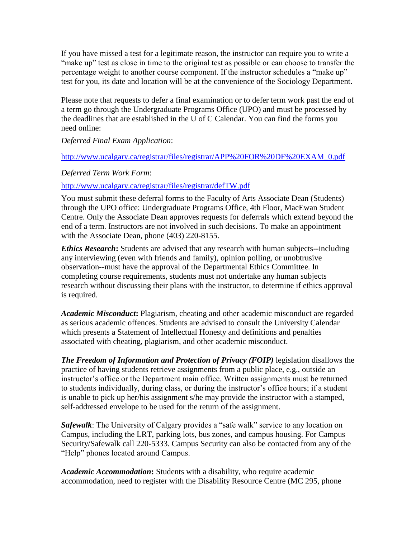If you have missed a test for a legitimate reason, the instructor can require you to write a "make up" test as close in time to the original test as possible or can choose to transfer the percentage weight to another course component. If the instructor schedules a "make up" test for you, its date and location will be at the convenience of the Sociology Department.

Please note that requests to defer a final examination or to defer term work past the end of a term go through the Undergraduate Programs Office (UPO) and must be processed by the deadlines that are established in the U of C Calendar. You can find the forms you need online:

*Deferred Final Exam Application*:

## [http://www.ucalgary.ca/registrar/files/registrar/APP%20FOR%20DF%20EXAM\\_0.pdf](http://www.ucalgary.ca/registrar/files/registrar/APP%20FOR%20DF%20EXAM_0.pdf)

## *Deferred Term Work Form*:

# <http://www.ucalgary.ca/registrar/files/registrar/defTW.pdf>

You must submit these deferral forms to the Faculty of Arts Associate Dean (Students) through the UPO office: Undergraduate Programs Office, 4th Floor, MacEwan Student Centre. Only the Associate Dean approves requests for deferrals which extend beyond the end of a term. Instructors are not involved in such decisions. To make an appointment with the Associate Dean, phone (403) 220-8155.

*Ethics Research***:** Students are advised that any research with human subjects--including any interviewing (even with friends and family), opinion polling, or unobtrusive observation--must have the approval of the Departmental Ethics Committee. In completing course requirements, students must not undertake any human subjects research without discussing their plans with the instructor, to determine if ethics approval is required.

*Academic Misconduct***:** Plagiarism, cheating and other academic misconduct are regarded as serious academic offences. Students are advised to consult the University Calendar which presents a Statement of Intellectual Honesty and definitions and penalties associated with cheating, plagiarism, and other academic misconduct.

*The Freedom of Information and Protection of Privacy (FOIP)* legislation disallows the practice of having students retrieve assignments from a public place, e.g., outside an instructor's office or the Department main office. Written assignments must be returned to students individually, during class, or during the instructor's office hours; if a student is unable to pick up her/his assignment s/he may provide the instructor with a stamped, self-addressed envelope to be used for the return of the assignment.

*Safewalk*: The University of Calgary provides a "safe walk" service to any location on Campus, including the LRT, parking lots, bus zones, and campus housing. For Campus Security/Safewalk call 220-5333. Campus Security can also be contacted from any of the "Help" phones located around Campus.

*Academic Accommodation***:** Students with a disability, who require academic accommodation, need to register with the Disability Resource Centre (MC 295, phone